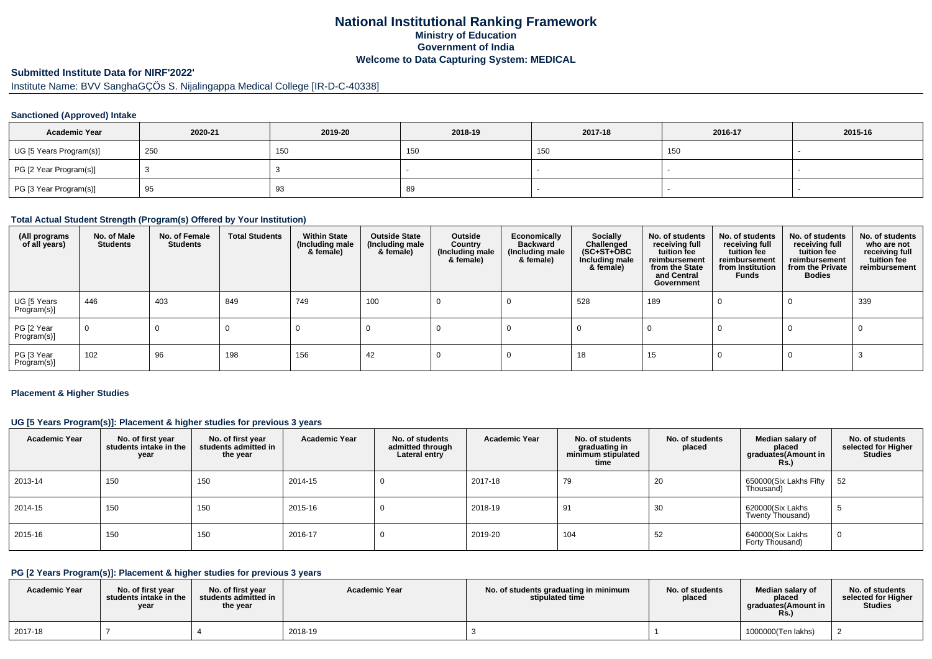# **National Institutional Ranking FrameworkMinistry of Education Government of IndiaWelcome to Data Capturing System: MEDICAL**

# **Submitted Institute Data for NIRF'2022'**

Institute Name: BVV SanghaGÇÖs S. Nijalingappa Medical College [IR-D-C-40338]

### **Sanctioned (Approved) Intake**

| <b>Academic Year</b>    | 2020-21 | 2019-20 | 2018-19 | 2017-18 | 2016-17 | 2015-16 |
|-------------------------|---------|---------|---------|---------|---------|---------|
| UG [5 Years Program(s)] | 250     | 150     | 150     | 150     | 150     |         |
| PG [2 Year Program(s)]  |         |         |         |         |         |         |
| PG [3 Year Program(s)]  | 95      | ຶ       | 89      |         |         |         |

#### **Total Actual Student Strength (Program(s) Offered by Your Institution)**

| (All programs<br>of all years) | No. of Male<br><b>Students</b> | No. of Female<br>Students | <b>Total Students</b> | <b>Within State</b><br>(Including male<br>& female) | <b>Outside State</b><br>(Including male<br>& female) | Outside<br>Country<br>(Including male<br>& female) | Economically<br><b>Backward</b><br>(Including male<br>& female) | <b>Socially</b><br>Challenged<br>$(SC+ST+\text{O}BC)$<br>Including male<br>& female) | No. of students<br>receiving full<br>tuition fee<br>reimbursement<br>from the State<br>and Central<br>Government | No. of students<br>receiving full<br>tuition fee<br>reimbursement<br>from Institution<br><b>Funds</b> | No. of students<br>receiving full<br>tuition fee<br>reimbursement<br>from the Private<br><b>Bodies</b> | No. of students<br>who are not<br>receiving full<br>tuition fee<br>reimbursement |
|--------------------------------|--------------------------------|---------------------------|-----------------------|-----------------------------------------------------|------------------------------------------------------|----------------------------------------------------|-----------------------------------------------------------------|--------------------------------------------------------------------------------------|------------------------------------------------------------------------------------------------------------------|-------------------------------------------------------------------------------------------------------|--------------------------------------------------------------------------------------------------------|----------------------------------------------------------------------------------|
| UG [5 Years<br>Program(s)]     | 446                            | 403                       | 849                   | 749                                                 | 100                                                  |                                                    |                                                                 | 528                                                                                  | 189                                                                                                              |                                                                                                       |                                                                                                        | 339                                                                              |
| PG [2 Year<br>Program(s)]      | $\mathbf 0$                    | 0                         | -0                    |                                                     |                                                      |                                                    |                                                                 |                                                                                      |                                                                                                                  |                                                                                                       |                                                                                                        |                                                                                  |
| PG [3 Year<br>Program(s)]      | 102                            | 96                        | 198                   | 156                                                 | 42                                                   |                                                    |                                                                 | 18                                                                                   | 15                                                                                                               |                                                                                                       |                                                                                                        |                                                                                  |

#### **Placement & Higher Studies**

#### **UG [5 Years Program(s)]: Placement & higher studies for previous 3 years**

| <b>Academic Year</b> | No. of first year<br>students intake in the<br>year | No. of first year<br>students admitted in<br>the year | <b>Academic Year</b> | No. of students<br>admitted through<br>Lateral entry | <b>Academic Year</b> | No. of students<br>graduating in<br>minimum stipulated<br>time | No. of students<br>placed | Median salary of<br>placed<br>graduates(Amount in<br>R <sub>S</sub> | No. of students<br>selected for Higher<br><b>Studies</b> |
|----------------------|-----------------------------------------------------|-------------------------------------------------------|----------------------|------------------------------------------------------|----------------------|----------------------------------------------------------------|---------------------------|---------------------------------------------------------------------|----------------------------------------------------------|
| 2013-14              | 150                                                 | 150                                                   | 2014-15              |                                                      | 2017-18              | 79                                                             | 20                        | 650000(Six Lakhs Fifty<br>Thousand)                                 | 52                                                       |
| 2014-15              | 150                                                 | 150                                                   | 2015-16              |                                                      | 2018-19              | 91                                                             | 30                        | 620000(Six Lakhs<br>Twenty Thousand)                                | ັບ                                                       |
| 2015-16              | 150                                                 | 150                                                   | 2016-17              |                                                      | 2019-20              | 104                                                            | 52                        | 640000(Six Lakhs<br>Forty Thousand)                                 | 0                                                        |

# **PG [2 Years Program(s)]: Placement & higher studies for previous 3 years**

| <b>Academic Year</b> | No. of first vear<br>students intake in the<br>year | No. of first vear<br>students admitted in<br>the year | <b>Academic Year</b> | No. of students graduating in minimum<br>stipulated time | No. of students<br>placed | Median salary of<br>placed<br>araduates(Amount in<br>Rs. | No. of students<br>selected for Higher<br><b>Studies</b> |
|----------------------|-----------------------------------------------------|-------------------------------------------------------|----------------------|----------------------------------------------------------|---------------------------|----------------------------------------------------------|----------------------------------------------------------|
| 2017-18              |                                                     |                                                       | 2018-19              |                                                          |                           | 1000000(Ten lakhs)                                       |                                                          |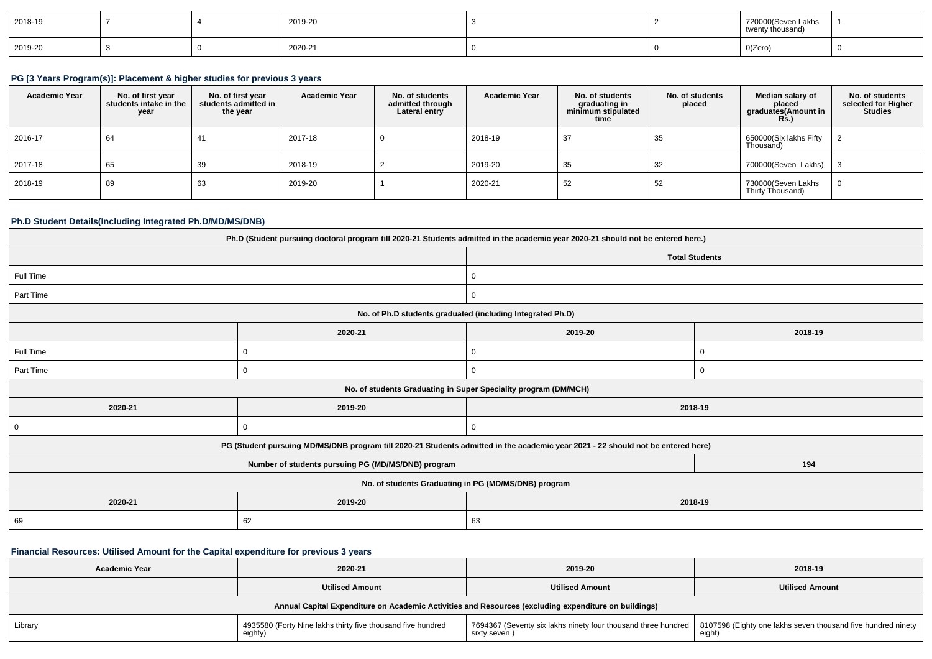| 2018-19 |  | 2019-20 |  | 720000(Seven Lakhs<br>twenty thousand) |  |
|---------|--|---------|--|----------------------------------------|--|
| 2019-20 |  | 2020-21 |  | O(Zero)<br>$\sim$                      |  |

#### **PG [3 Years Program(s)]: Placement & higher studies for previous 3 years**

| <b>Academic Year</b> | No. of first year<br>students intake in the<br>year | No. of first vear<br>students admitted in<br>the year | <b>Academic Year</b> | No. of students<br>admitted through<br>Lateral entry | <b>Academic Year</b> | No. of students<br>graduating in<br>minimum stipulated<br>time | No. of students<br>placed | Median salary of<br>placed<br>graduates(Amount in<br><b>Rs.)</b> | No. of students<br>selected for Higher<br><b>Studies</b> |
|----------------------|-----------------------------------------------------|-------------------------------------------------------|----------------------|------------------------------------------------------|----------------------|----------------------------------------------------------------|---------------------------|------------------------------------------------------------------|----------------------------------------------------------|
| 2016-17              | 64                                                  | 41                                                    | 2017-18              |                                                      | 2018-19              | 37                                                             | 35                        | 650000(Six lakhs Fifty<br>Thousand)                              |                                                          |
| 2017-18              | 65                                                  | 39                                                    | 2018-19              |                                                      | 2019-20              | 35                                                             | 32                        | 700000(Seven Lakhs)                                              |                                                          |
| 2018-19              | 89                                                  | 63                                                    | 2019-20              |                                                      | 2020-21              | 52                                                             | 52                        | 730000(Seven Lakhs<br>Thirty Thousand)                           |                                                          |

#### **Ph.D Student Details(Including Integrated Ph.D/MD/MS/DNB)**

| Ph.D (Student pursuing doctoral program till 2020-21 Students admitted in the academic year 2020-21 should not be entered here.) |                                                                                                                                  |                                                                 |             |  |  |  |
|----------------------------------------------------------------------------------------------------------------------------------|----------------------------------------------------------------------------------------------------------------------------------|-----------------------------------------------------------------|-------------|--|--|--|
|                                                                                                                                  |                                                                                                                                  | <b>Total Students</b>                                           |             |  |  |  |
| Full Time                                                                                                                        |                                                                                                                                  | 0                                                               |             |  |  |  |
| Part Time                                                                                                                        |                                                                                                                                  | $\mathbf{0}$                                                    |             |  |  |  |
|                                                                                                                                  |                                                                                                                                  | No. of Ph.D students graduated (including Integrated Ph.D)      |             |  |  |  |
|                                                                                                                                  | 2020-21                                                                                                                          | 2019-20                                                         | 2018-19     |  |  |  |
| Full Time                                                                                                                        | 0                                                                                                                                | $\mathbf{0}$                                                    | $\mathbf 0$ |  |  |  |
| Part Time                                                                                                                        |                                                                                                                                  | 0                                                               | $\Omega$    |  |  |  |
|                                                                                                                                  |                                                                                                                                  | No. of students Graduating in Super Speciality program (DM/MCH) |             |  |  |  |
| 2020-21                                                                                                                          | 2019-20                                                                                                                          | 2018-19                                                         |             |  |  |  |
| 0                                                                                                                                | 0                                                                                                                                | 0                                                               |             |  |  |  |
|                                                                                                                                  | PG (Student pursuing MD/MS/DNB program till 2020-21 Students admitted in the academic year 2021 - 22 should not be entered here) |                                                                 |             |  |  |  |
|                                                                                                                                  | Number of students pursuing PG (MD/MS/DNB) program                                                                               |                                                                 | 194         |  |  |  |
| No. of students Graduating in PG (MD/MS/DNB) program                                                                             |                                                                                                                                  |                                                                 |             |  |  |  |
| 2020-21                                                                                                                          | 2019-20                                                                                                                          | 2018-19                                                         |             |  |  |  |
| 69                                                                                                                               | 62                                                                                                                               | 63                                                              |             |  |  |  |

# **Financial Resources: Utilised Amount for the Capital expenditure for previous 3 years**

| <b>Academic Year</b>                                                                                 | 2020-21                                                                | 2019-20                | 2018-19                                                                                                                                |  |  |  |  |
|------------------------------------------------------------------------------------------------------|------------------------------------------------------------------------|------------------------|----------------------------------------------------------------------------------------------------------------------------------------|--|--|--|--|
|                                                                                                      | <b>Utilised Amount</b>                                                 | <b>Utilised Amount</b> | <b>Utilised Amount</b>                                                                                                                 |  |  |  |  |
| Annual Capital Expenditure on Academic Activities and Resources (excluding expenditure on buildings) |                                                                        |                        |                                                                                                                                        |  |  |  |  |
| Library                                                                                              | 4935580 (Forty Nine lakhs thirty five thousand five hundred<br>eighty) | sixty seven)           | 7694367 (Seventy six lakhs ninety four thousand three hundred   8107598 (Eighty one lakhs seven thousand five hundred ninety<br>eight) |  |  |  |  |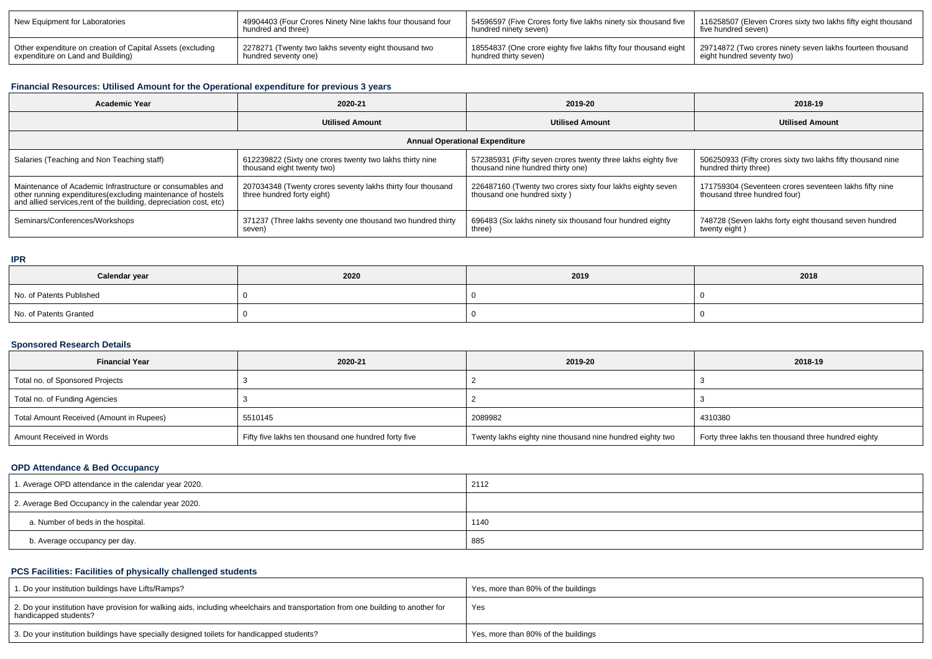| New Equipment for Laboratories                             | 49904403 (Four Crores Ninety Nine lakhs four thousand four | 54596597 (Five Crores forty five lakhs ninety six thousand five | 116258507 (Eleven Crores sixty two lakhs fifty eight thousand |
|------------------------------------------------------------|------------------------------------------------------------|-----------------------------------------------------------------|---------------------------------------------------------------|
|                                                            | hundred and three)                                         | hundred ninety seven)                                           | five hundred seven)                                           |
| Other expenditure on creation of Capital Assets (excluding | I 2278271 (Twenty two lakhs seventy eight thousand two     | 18554837 (One crore eighty five lakhs fifty four thousand eight | 29714872 (Two crores ninety seven lakhs fourteen thousand     |
| expenditure on Land and Building)                          | hundred seventy one)                                       | hundred thirty seven)                                           | eight hundred seventy two)                                    |

## **Financial Resources: Utilised Amount for the Operational expenditure for previous 3 years**

| <b>Academic Year</b><br>2020-21                                                                                                   |                                                             | 2019-20                                                      | 2018-19                                                     |  |  |  |  |  |
|-----------------------------------------------------------------------------------------------------------------------------------|-------------------------------------------------------------|--------------------------------------------------------------|-------------------------------------------------------------|--|--|--|--|--|
|                                                                                                                                   | <b>Utilised Amount</b>                                      | <b>Utilised Amount</b>                                       | <b>Utilised Amount</b>                                      |  |  |  |  |  |
| <b>Annual Operational Expenditure</b>                                                                                             |                                                             |                                                              |                                                             |  |  |  |  |  |
| Salaries (Teaching and Non Teaching staff)                                                                                        | 612239822 (Sixty one crores twenty two lakhs thirty nine    | 572385931 (Fifty seven crores twenty three lakhs eighty five | 506250933 (Fifty crores sixty two lakhs fifty thousand nine |  |  |  |  |  |
|                                                                                                                                   | thousand eight twenty two)                                  | thousand nine hundred thirty one)                            | hundred thirty three)                                       |  |  |  |  |  |
| Maintenance of Academic Infrastructure or consumables and                                                                         | 207034348 (Twenty crores seventy lakhs thirty four thousand | 226487160 (Twenty two crores sixty four lakhs eighty seven   | 171759304 (Seventeen crores seventeen lakhs fifty nine      |  |  |  |  |  |
| other running expenditures(excluding maintenance of hostels<br>and allied services, rent of the building, depreciation cost, etc) | three hundred forty eight)                                  | thousand one hundred sixty)                                  | thousand three hundred four)                                |  |  |  |  |  |
| Seminars/Conferences/Workshops                                                                                                    | 371237 (Three lakhs seventy one thousand two hundred thirty | 696483 (Six lakhs ninety six thousand four hundred eighty    | 748728 (Seven lakhs forty eight thousand seven hundred      |  |  |  |  |  |
|                                                                                                                                   | seven)                                                      | three)                                                       | twenty eight)                                               |  |  |  |  |  |

#### **IPR**

| Calendar year            | 2020 | 2019 | 2018 |
|--------------------------|------|------|------|
| No. of Patents Published |      |      |      |
| No. of Patents Granted   |      |      |      |

#### **Sponsored Research Details**

| <b>Financial Year</b>                    | 2020-21                                              | 2019-20                                                   | 2018-19                                             |
|------------------------------------------|------------------------------------------------------|-----------------------------------------------------------|-----------------------------------------------------|
| Total no. of Sponsored Projects          |                                                      |                                                           |                                                     |
| Total no. of Funding Agencies            |                                                      |                                                           |                                                     |
| Total Amount Received (Amount in Rupees) | 5510145                                              | 2089982                                                   | 4310380                                             |
| Amount Received in Words                 | Fifty five lakhs ten thousand one hundred forty five | Twenty lakhs eighty nine thousand nine hundred eighty two | Forty three lakhs ten thousand three hundred eighty |

## **OPD Attendance & Bed Occupancy**

| 1. Average OPD attendance in the calendar year 2020. | 2112 |
|------------------------------------------------------|------|
| 2. Average Bed Occupancy in the calendar year 2020.  |      |
| a. Number of beds in the hospital.                   | 1140 |
| b. Average occupancy per day.                        | 885  |

## **PCS Facilities: Facilities of physically challenged students**

| 1. Do your institution buildings have Lifts/Ramps?                                                                                                         | Yes, more than 80% of the buildings |
|------------------------------------------------------------------------------------------------------------------------------------------------------------|-------------------------------------|
| 2. Do your institution have provision for walking aids, including wheelchairs and transportation from one building to another for<br>handicapped students? | Yes                                 |
| 3. Do your institution buildings have specially designed toilets for handicapped students?                                                                 | Yes, more than 80% of the buildings |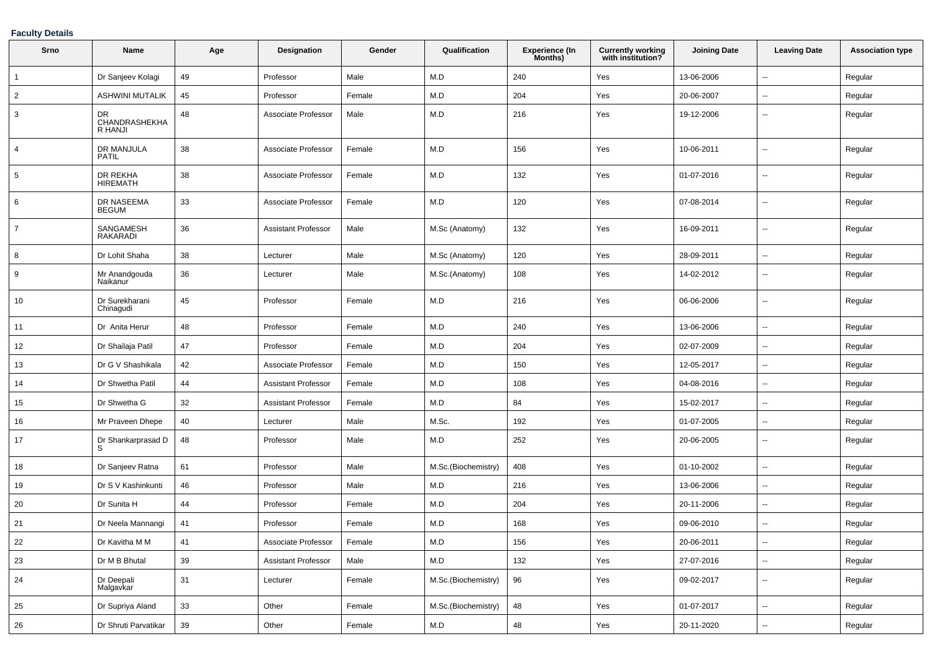### **Faculty Details**

| Srno           | Name                           | Age | Designation                | Gender | Qualification       | Experience (In<br>Months) | <b>Currently working</b><br>with institution? | <b>Joining Date</b> | <b>Leaving Date</b>      | <b>Association type</b> |
|----------------|--------------------------------|-----|----------------------------|--------|---------------------|---------------------------|-----------------------------------------------|---------------------|--------------------------|-------------------------|
| $\overline{1}$ | Dr Sanjeev Kolagi              | 49  | Professor                  | Male   | M.D                 | 240                       | Yes                                           | 13-06-2006          | $\sim$                   | Regular                 |
| $\overline{2}$ | <b>ASHWINI MUTALIK</b>         | 45  | Professor                  | Female | M.D                 | 204                       | Yes                                           | 20-06-2007          | $\overline{\phantom{a}}$ | Regular                 |
| 3              | DR<br>CHANDRASHEKHA<br>R HANJI | 48  | Associate Professor        | Male   | M.D                 | 216                       | Yes                                           | 19-12-2006          | $\sim$                   | Regular                 |
| $\overline{4}$ | DR MANJULA<br><b>PATIL</b>     | 38  | Associate Professor        | Female | M.D                 | 156                       | Yes                                           | 10-06-2011          | $\overline{\phantom{a}}$ | Regular                 |
| 5              | DR REKHA<br><b>HIREMATH</b>    | 38  | Associate Professor        | Female | M.D                 | 132                       | Yes                                           | 01-07-2016          | $\overline{\phantom{a}}$ | Regular                 |
| 6              | DR NASEEMA<br><b>BEGUM</b>     | 33  | Associate Professor        | Female | M.D                 | 120                       | Yes                                           | 07-08-2014          | $\overline{\phantom{a}}$ | Regular                 |
| $\overline{7}$ | SANGAMESH<br>RAKARADI          | 36  | <b>Assistant Professor</b> | Male   | M.Sc (Anatomy)      | 132                       | Yes                                           | 16-09-2011          | $\overline{\phantom{a}}$ | Regular                 |
| 8              | Dr Lohit Shaha                 | 38  | Lecturer                   | Male   | M.Sc (Anatomy)      | 120                       | Yes                                           | 28-09-2011          | $\overline{\phantom{a}}$ | Regular                 |
| 9              | Mr Anandgouda<br>Naikanur      | 36  | Lecturer                   | Male   | M.Sc.(Anatomy)      | 108                       | Yes                                           | 14-02-2012          | $\sim$                   | Regular                 |
| 10             | Dr Surekharani<br>Chinagudi    | 45  | Professor                  | Female | M.D                 | 216                       | Yes                                           | 06-06-2006          | $\sim$                   | Regular                 |
| 11             | Dr Anita Herur                 | 48  | Professor                  | Female | M.D                 | 240                       | Yes                                           | 13-06-2006          | $\sim$                   | Regular                 |
| 12             | Dr Shailaja Patil              | 47  | Professor                  | Female | M.D                 | 204                       | Yes                                           | 02-07-2009          | $\overline{\phantom{a}}$ | Regular                 |
| 13             | Dr G V Shashikala              | 42  | Associate Professor        | Female | M.D                 | 150                       | Yes                                           | 12-05-2017          | $\overline{\phantom{a}}$ | Regular                 |
| 14             | Dr Shwetha Patil               | 44  | <b>Assistant Professor</b> | Female | M.D                 | 108                       | Yes                                           | 04-08-2016          | $\sim$                   | Regular                 |
| 15             | Dr Shwetha G                   | 32  | <b>Assistant Professor</b> | Female | M.D                 | 84                        | Yes                                           | 15-02-2017          | $\sim$                   | Regular                 |
| 16             | Mr Praveen Dhepe               | 40  | Lecturer                   | Male   | M.Sc.               | 192                       | Yes                                           | 01-07-2005          | $\overline{\phantom{a}}$ | Regular                 |
| 17             | Dr Shankarprasad D<br>S.       | 48  | Professor                  | Male   | M.D                 | 252                       | Yes                                           | 20-06-2005          | $\sim$                   | Regular                 |
| 18             | Dr Sanjeev Ratna               | 61  | Professor                  | Male   | M.Sc.(Biochemistry) | 408                       | Yes                                           | 01-10-2002          | $\sim$                   | Regular                 |
| 19             | Dr S V Kashinkunti             | 46  | Professor                  | Male   | M.D                 | 216                       | Yes                                           | 13-06-2006          | $\overline{\phantom{a}}$ | Regular                 |
| 20             | Dr Sunita H                    | 44  | Professor                  | Female | M.D                 | 204                       | Yes                                           | 20-11-2006          | $\overline{\phantom{a}}$ | Regular                 |
| 21             | Dr Neela Mannangi              | 41  | Professor                  | Female | M.D                 | 168                       | Yes                                           | 09-06-2010          | $\sim$                   | Regular                 |
| 22             | Dr Kavitha M M                 | 41  | Associate Professor        | Female | M.D                 | 156                       | Yes                                           | 20-06-2011          | $\sim$                   | Regular                 |
| 23             | Dr M B Bhutal                  | 39  | <b>Assistant Professor</b> | Male   | M.D                 | 132                       | Yes                                           | 27-07-2016          | $\overline{\phantom{a}}$ | Regular                 |
| 24             | Dr Deepali<br>Malgavkar        | 31  | Lecturer                   | Female | M.Sc.(Biochemistry) | 96                        | Yes                                           | 09-02-2017          | $\sim$                   | Regular                 |
| 25             | Dr Supriya Aland               | 33  | Other                      | Female | M.Sc.(Biochemistry) | 48                        | Yes                                           | 01-07-2017          | $\rightarrow$            | Regular                 |
| 26             | Dr Shruti Parvatikar           | 39  | Other                      | Female | M.D                 | 48                        | Yes                                           | 20-11-2020          | $\overline{\phantom{a}}$ | Regular                 |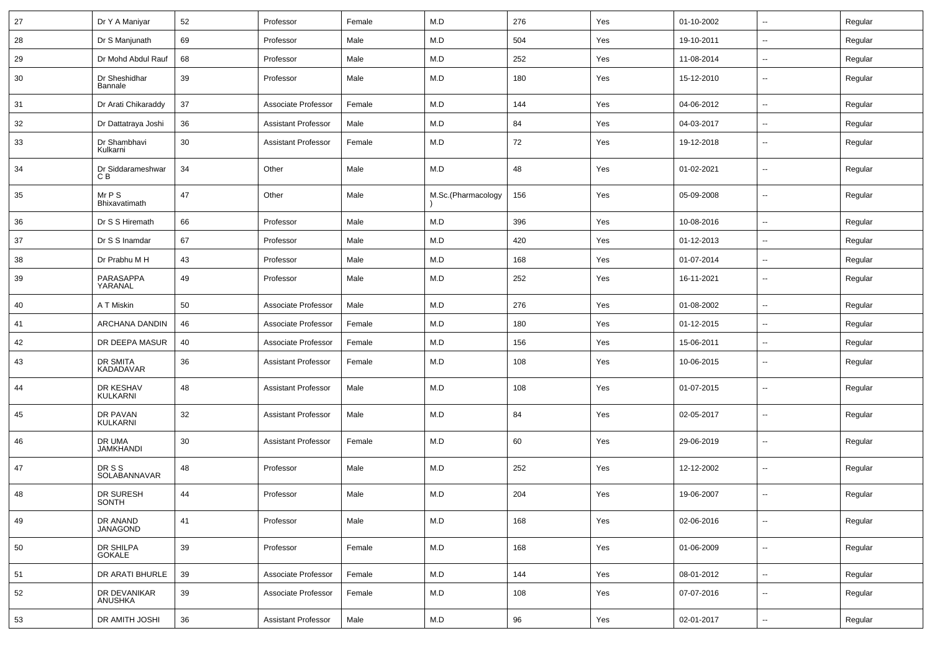| 27 | Dr Y A Maniyar             | 52 | Professor                  | Female | M.D                | 276 | Yes | 01-10-2002 | Ξ.                       | Regular |
|----|----------------------------|----|----------------------------|--------|--------------------|-----|-----|------------|--------------------------|---------|
| 28 | Dr S Manjunath             | 69 | Professor                  | Male   | M.D                | 504 | Yes | 19-10-2011 | --                       | Regular |
| 29 | Dr Mohd Abdul Rauf         | 68 | Professor                  | Male   | M.D                | 252 | Yes | 11-08-2014 | $\overline{\phantom{a}}$ | Regular |
| 30 | Dr Sheshidhar<br>Bannale   | 39 | Professor                  | Male   | M.D                | 180 | Yes | 15-12-2010 | --                       | Regular |
| 31 | Dr Arati Chikaraddy        | 37 | Associate Professor        | Female | M.D                | 144 | Yes | 04-06-2012 | $\overline{\phantom{a}}$ | Regular |
| 32 | Dr Dattatraya Joshi        | 36 | <b>Assistant Professor</b> | Male   | M.D                | 84  | Yes | 04-03-2017 | $\sim$                   | Regular |
| 33 | Dr Shambhavi<br>Kulkarni   | 30 | <b>Assistant Professor</b> | Female | M.D                | 72  | Yes | 19-12-2018 | $\sim$                   | Regular |
| 34 | Dr Siddarameshwar<br>C B   | 34 | Other                      | Male   | M.D                | 48  | Yes | 01-02-2021 | $\sim$                   | Regular |
| 35 | Mr P S<br>Bhixavatimath    | 47 | Other                      | Male   | M.Sc.(Pharmacology | 156 | Yes | 05-09-2008 | $\sim$                   | Regular |
| 36 | Dr S S Hiremath            | 66 | Professor                  | Male   | M.D                | 396 | Yes | 10-08-2016 | $\sim$                   | Regular |
| 37 | Dr S S Inamdar             | 67 | Professor                  | Male   | M.D                | 420 | Yes | 01-12-2013 | $\sim$                   | Regular |
| 38 | Dr Prabhu M H              | 43 | Professor                  | Male   | M.D                | 168 | Yes | 01-07-2014 | --                       | Regular |
| 39 | PARASAPPA<br>YARANAL       | 49 | Professor                  | Male   | M.D                | 252 | Yes | 16-11-2021 | --                       | Regular |
| 40 | A T Miskin                 | 50 | Associate Professor        | Male   | M.D                | 276 | Yes | 01-08-2002 | $\overline{\phantom{a}}$ | Regular |
| 41 | ARCHANA DANDIN             | 46 | Associate Professor        | Female | M.D                | 180 | Yes | 01-12-2015 | $\overline{\phantom{a}}$ | Regular |
| 42 | DR DEEPA MASUR             | 40 | Associate Professor        | Female | M.D                | 156 | Yes | 15-06-2011 | $\overline{\phantom{a}}$ | Regular |
| 43 | DR SMITA<br>KADADAVAR      | 36 | <b>Assistant Professor</b> | Female | M.D                | 108 | Yes | 10-06-2015 | $\sim$                   | Regular |
| 44 | DR KESHAV<br>KULKARNI      | 48 | <b>Assistant Professor</b> | Male   | M.D                | 108 | Yes | 01-07-2015 | $\overline{a}$           | Regular |
| 45 | DR PAVAN<br>KULKARNI       | 32 | <b>Assistant Professor</b> | Male   | M.D                | 84  | Yes | 02-05-2017 | $\sim$                   | Regular |
| 46 | DR UMA<br><b>JAMKHANDI</b> | 30 | <b>Assistant Professor</b> | Female | M.D                | 60  | Yes | 29-06-2019 | $\overline{a}$           | Regular |
| 47 | DR S S<br>SOLABANNAVAR     | 48 | Professor                  | Male   | M.D                | 252 | Yes | 12-12-2002 | $\sim$                   | Regular |
| 48 | DR SURESH<br>SONTH         | 44 | Professor                  | Male   | M.D                | 204 | Yes | 19-06-2007 | $\overline{\phantom{a}}$ | Regular |
| 49 | DR ANAND<br>JANAGOND       | 41 | Professor                  | Male   | M.D                | 168 | Yes | 02-06-2016 | $\sim$                   | Regular |
| 50 | DR SHILPA<br>GOKALE        | 39 | Professor                  | Female | M.D                | 168 | Yes | 01-06-2009 | Ξ.                       | Regular |
| 51 | DR ARATI BHURLE            | 39 | Associate Professor        | Female | M.D                | 144 | Yes | 08-01-2012 | $\sim$                   | Regular |
| 52 | DR DEVANIKAR<br>ANUSHKA    | 39 | Associate Professor        | Female | M.D                | 108 | Yes | 07-07-2016 | $\sim$                   | Regular |
| 53 | DR AMITH JOSHI             | 36 | <b>Assistant Professor</b> | Male   | M.D                | 96  | Yes | 02-01-2017 | $\overline{\phantom{a}}$ | Regular |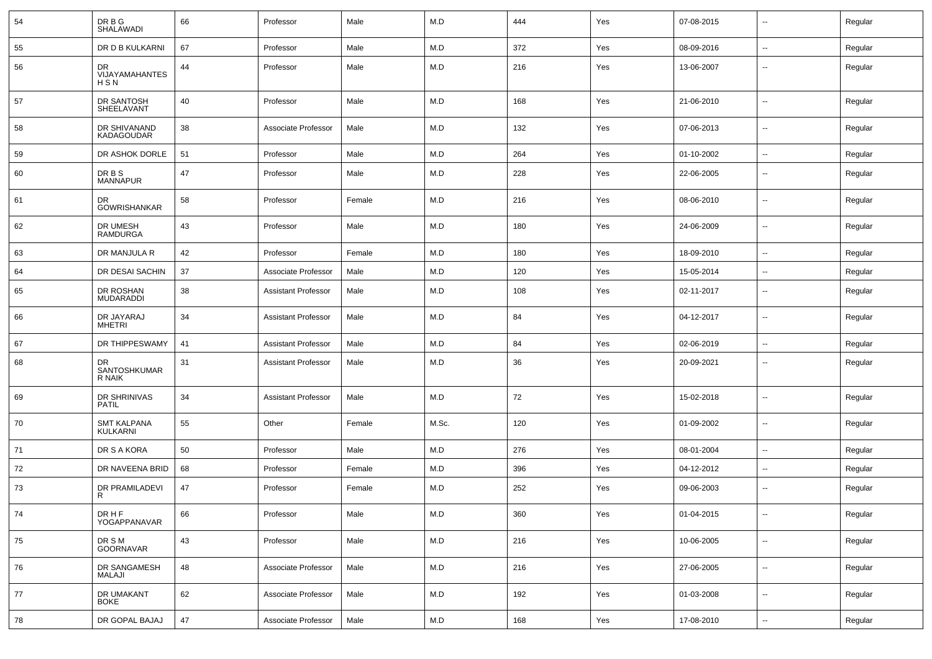| 54 | DR B G<br>SHALAWADI                   | 66 | Professor                  | Male   | M.D   | 444 | Yes | 07-08-2015 | $\sim$                   | Regular |
|----|---------------------------------------|----|----------------------------|--------|-------|-----|-----|------------|--------------------------|---------|
| 55 | DR D B KULKARNI                       | 67 | Professor                  | Male   | M.D   | 372 | Yes | 08-09-2016 | $\sim$                   | Regular |
| 56 | DR<br>VIJAYAMAHANTES<br>HSN           | 44 | Professor                  | Male   | M.D   | 216 | Yes | 13-06-2007 | $\overline{\phantom{a}}$ | Regular |
| 57 | DR SANTOSH<br>SHEELAVANT              | 40 | Professor                  | Male   | M.D   | 168 | Yes | 21-06-2010 | $\sim$                   | Regular |
| 58 | DR SHIVANAND<br><b>KADAGOUDAR</b>     | 38 | Associate Professor        | Male   | M.D   | 132 | Yes | 07-06-2013 | $\sim$                   | Regular |
| 59 | DR ASHOK DORLE                        | 51 | Professor                  | Male   | M.D   | 264 | Yes | 01-10-2002 | $\sim$                   | Regular |
| 60 | DR B S<br><b>MANNAPUR</b>             | 47 | Professor                  | Male   | M.D   | 228 | Yes | 22-06-2005 | $\sim$                   | Regular |
| 61 | DR<br><b>GOWRISHANKAR</b>             | 58 | Professor                  | Female | M.D   | 216 | Yes | 08-06-2010 | $\sim$                   | Regular |
| 62 | DR UMESH<br><b>RAMDURGA</b>           | 43 | Professor                  | Male   | M.D   | 180 | Yes | 24-06-2009 | $\sim$                   | Regular |
| 63 | DR MANJULA R                          | 42 | Professor                  | Female | M.D   | 180 | Yes | 18-09-2010 | $\sim$                   | Regular |
| 64 | DR DESAI SACHIN                       | 37 | Associate Professor        | Male   | M.D   | 120 | Yes | 15-05-2014 | $\overline{\phantom{a}}$ | Regular |
| 65 | DR ROSHAN<br><b>MUDARADDI</b>         | 38 | <b>Assistant Professor</b> | Male   | M.D   | 108 | Yes | 02-11-2017 | $\sim$                   | Regular |
| 66 | DR JAYARAJ<br>MHETRI                  | 34 | <b>Assistant Professor</b> | Male   | M.D   | 84  | Yes | 04-12-2017 | $\overline{\phantom{a}}$ | Regular |
| 67 | DR THIPPESWAMY                        | 41 | <b>Assistant Professor</b> | Male   | M.D   | 84  | Yes | 02-06-2019 | $\overline{\phantom{a}}$ | Regular |
| 68 | DR<br>SANTOSHKUMAR<br>R NAIK          | 31 | <b>Assistant Professor</b> | Male   | M.D   | 36  | Yes | 20-09-2021 | $\sim$                   | Regular |
| 69 | DR SHRINIVAS<br><b>PATIL</b>          | 34 | <b>Assistant Professor</b> | Male   | M.D   | 72  | Yes | 15-02-2018 | $\sim$                   | Regular |
| 70 | <b>SMT KALPANA</b><br><b>KULKARNI</b> | 55 | Other                      | Female | M.Sc. | 120 | Yes | 01-09-2002 | $\overline{\phantom{a}}$ | Regular |
| 71 | DR S A KORA                           | 50 | Professor                  | Male   | M.D   | 276 | Yes | 08-01-2004 | $\overline{\phantom{a}}$ | Regular |
| 72 | DR NAVEENA BRID                       | 68 | Professor                  | Female | M.D   | 396 | Yes | 04-12-2012 | $\sim$                   | Regular |
| 73 | DR PRAMILADEVI<br>R                   | 47 | Professor                  | Female | M.D   | 252 | Yes | 09-06-2003 | Ξ.                       | Regular |
| 74 | DR H F<br>YOGAPPANAVAR                | 66 | Professor                  | Male   | M.D   | 360 | Yes | 01-04-2015 | $\sim$                   | Regular |
| 75 | DR S M<br>GOORNAVAR                   | 43 | Professor                  | Male   | M.D   | 216 | Yes | 10-06-2005 | $\sim$                   | Regular |
| 76 | DR SANGAMESH<br>MALAJI                | 48 | Associate Professor        | Male   | M.D   | 216 | Yes | 27-06-2005 | $\sim$                   | Regular |
| 77 | DR UMAKANT<br><b>BOKE</b>             | 62 | Associate Professor        | Male   | M.D   | 192 | Yes | 01-03-2008 | $\sim$                   | Regular |
| 78 | DR GOPAL BAJAJ                        | 47 | Associate Professor        | Male   | M.D   | 168 | Yes | 17-08-2010 | $\sim$                   | Regular |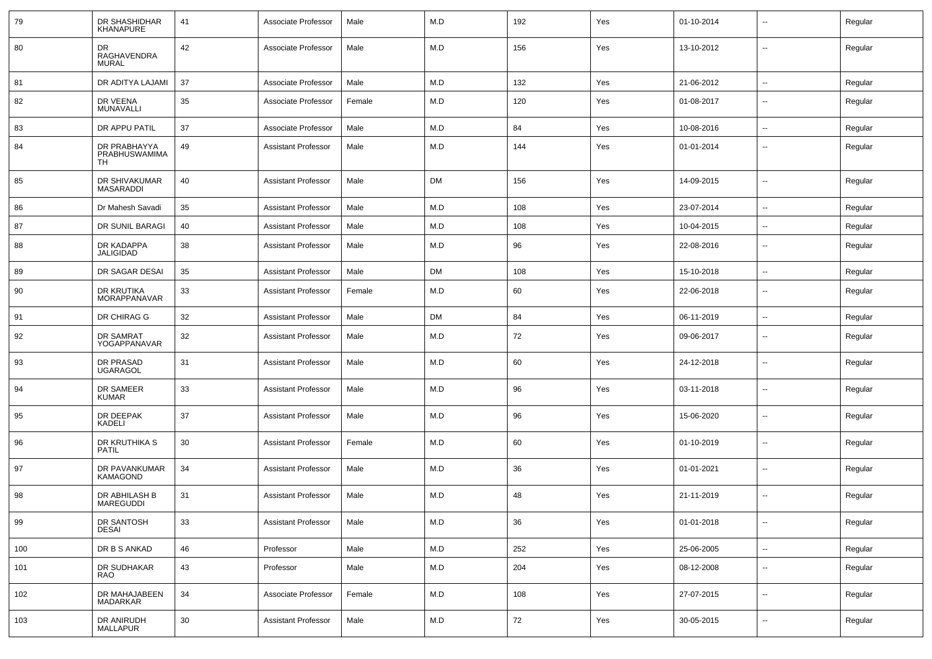| 79  | DR SHASHIDHAR<br><b>KHANAPURE</b>          | 41 | Associate Professor        | Male   | M.D       | 192 | Yes | 01-10-2014 | $\sim$                   | Regular |
|-----|--------------------------------------------|----|----------------------------|--------|-----------|-----|-----|------------|--------------------------|---------|
| 80  | DR<br>RAGHAVENDRA<br>MURAL                 | 42 | Associate Professor        | Male   | M.D       | 156 | Yes | 13-10-2012 | $\overline{\phantom{a}}$ | Regular |
| 81  | DR ADITYA LAJAMI                           | 37 | Associate Professor        | Male   | M.D       | 132 | Yes | 21-06-2012 | $\sim$                   | Regular |
| 82  | DR VEENA<br>MUNAVALLI                      | 35 | Associate Professor        | Female | M.D       | 120 | Yes | 01-08-2017 | $\overline{\phantom{a}}$ | Regular |
| 83  | DR APPU PATIL                              | 37 | Associate Professor        | Male   | M.D       | 84  | Yes | 10-08-2016 | $\sim$                   | Regular |
| 84  | DR PRABHAYYA<br><b>PRABHUSWAMIMA</b><br>TH | 49 | <b>Assistant Professor</b> | Male   | M.D       | 144 | Yes | 01-01-2014 | $\overline{\phantom{a}}$ | Regular |
| 85  | DR SHIVAKUMAR<br><b>MASARADDI</b>          | 40 | <b>Assistant Professor</b> | Male   | <b>DM</b> | 156 | Yes | 14-09-2015 | $\overline{\phantom{a}}$ | Regular |
| 86  | Dr Mahesh Savadi                           | 35 | <b>Assistant Professor</b> | Male   | M.D       | 108 | Yes | 23-07-2014 | $\overline{\phantom{a}}$ | Regular |
| 87  | DR SUNIL BARAGI                            | 40 | Assistant Professor        | Male   | M.D       | 108 | Yes | 10-04-2015 | $\overline{\phantom{a}}$ | Regular |
| 88  | DR KADAPPA<br>JALIGIDAD                    | 38 | <b>Assistant Professor</b> | Male   | M.D       | 96  | Yes | 22-08-2016 | $\sim$                   | Regular |
| 89  | DR SAGAR DESAI                             | 35 | <b>Assistant Professor</b> | Male   | <b>DM</b> | 108 | Yes | 15-10-2018 | $\sim$                   | Regular |
| 90  | DR KRUTIKA<br><b>MORAPPANAVAR</b>          | 33 | <b>Assistant Professor</b> | Female | M.D       | 60  | Yes | 22-06-2018 | $\overline{\phantom{a}}$ | Regular |
| 91  | DR CHIRAG G                                | 32 | <b>Assistant Professor</b> | Male   | <b>DM</b> | 84  | Yes | 06-11-2019 | $\sim$                   | Regular |
| 92  | DR SAMRAT<br>YOGAPPANAVAR                  | 32 | <b>Assistant Professor</b> | Male   | M.D       | 72  | Yes | 09-06-2017 | $\sim$                   | Regular |
| 93  | DR PRASAD<br><b>UGARAGOL</b>               | 31 | <b>Assistant Professor</b> | Male   | M.D       | 60  | Yes | 24-12-2018 | $\sim$                   | Regular |
| 94  | DR SAMEER<br><b>KUMAR</b>                  | 33 | <b>Assistant Professor</b> | Male   | M.D       | 96  | Yes | 03-11-2018 | $\overline{\phantom{a}}$ | Regular |
| 95  | DR DEEPAK<br><b>KADELI</b>                 | 37 | <b>Assistant Professor</b> | Male   | M.D       | 96  | Yes | 15-06-2020 | $\sim$                   | Regular |
| 96  | DR KRUTHIKA S<br><b>PATIL</b>              | 30 | <b>Assistant Professor</b> | Female | M.D       | 60  | Yes | 01-10-2019 | $\overline{\phantom{a}}$ | Regular |
| 97  | DR PAVANKUMAR<br><b>KAMAGOND</b>           | 34 | <b>Assistant Professor</b> | Male   | M.D       | 36  | Yes | 01-01-2021 | $\overline{\phantom{a}}$ | Regular |
| 98  | DR ABHILASH B<br>MAREGUDDI                 | 31 | <b>Assistant Professor</b> | Male   | M.D       | 48  | Yes | 21-11-2019 | $\overline{\phantom{a}}$ | Regular |
| 99  | DR SANTOSH<br><b>DESAI</b>                 | 33 | <b>Assistant Professor</b> | Male   | M.D       | 36  | Yes | 01-01-2018 | $\overline{\phantom{a}}$ | Regular |
| 100 | DR B S ANKAD                               | 46 | Professor                  | Male   | M.D       | 252 | Yes | 25-06-2005 | $\sim$                   | Regular |
| 101 | DR SUDHAKAR<br>RAO                         | 43 | Professor                  | Male   | M.D       | 204 | Yes | 08-12-2008 | $\overline{\phantom{a}}$ | Regular |
| 102 | DR MAHAJABEEN<br>MADARKAR                  | 34 | Associate Professor        | Female | M.D       | 108 | Yes | 27-07-2015 | $\overline{\phantom{a}}$ | Regular |
| 103 | DR ANIRUDH<br>MALLAPUR                     | 30 | <b>Assistant Professor</b> | Male   | M.D       | 72  | Yes | 30-05-2015 | $\overline{\phantom{a}}$ | Regular |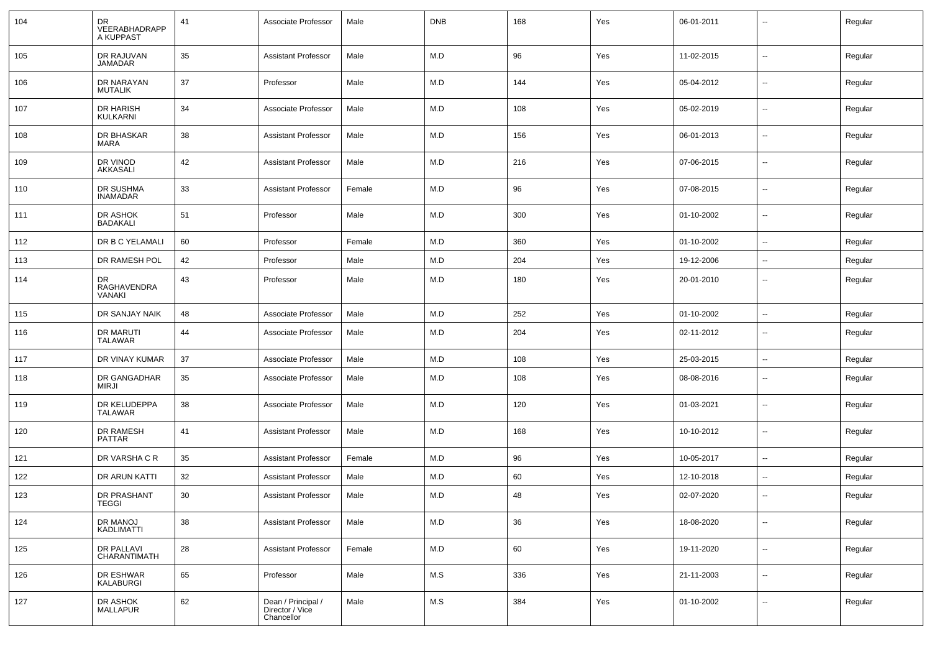| 104 | DR<br>VEERABHADRAPP<br>A KUPPAST   | 41 | Associate Professor                                 | Male   | <b>DNB</b> | 168 | Yes | 06-01-2011 | --                       | Regular |
|-----|------------------------------------|----|-----------------------------------------------------|--------|------------|-----|-----|------------|--------------------------|---------|
| 105 | DR RAJUVAN<br><b>JAMADAR</b>       | 35 | <b>Assistant Professor</b>                          | Male   | M.D        | 96  | Yes | 11-02-2015 | --                       | Regular |
| 106 | DR NARAYAN<br><b>MUTALIK</b>       | 37 | Professor                                           | Male   | M.D        | 144 | Yes | 05-04-2012 | --                       | Regular |
| 107 | DR HARISH<br><b>KULKARNI</b>       | 34 | Associate Professor                                 | Male   | M.D        | 108 | Yes | 05-02-2019 | --                       | Regular |
| 108 | DR BHASKAR<br>MARA                 | 38 | <b>Assistant Professor</b>                          | Male   | M.D        | 156 | Yes | 06-01-2013 | --                       | Regular |
| 109 | DR VINOD<br><b>AKKASALI</b>        | 42 | <b>Assistant Professor</b>                          | Male   | M.D        | 216 | Yes | 07-06-2015 | $\overline{\phantom{a}}$ | Regular |
| 110 | DR SUSHMA<br><b>INAMADAR</b>       | 33 | <b>Assistant Professor</b>                          | Female | M.D        | 96  | Yes | 07-08-2015 | --                       | Regular |
| 111 | DR ASHOK<br><b>BADAKALI</b>        | 51 | Professor                                           | Male   | M.D        | 300 | Yes | 01-10-2002 | --                       | Regular |
| 112 | DR B C YELAMALI                    | 60 | Professor                                           | Female | M.D        | 360 | Yes | 01-10-2002 | ⊷.                       | Regular |
| 113 | DR RAMESH POL                      | 42 | Professor                                           | Male   | M.D        | 204 | Yes | 19-12-2006 | $\overline{\phantom{a}}$ | Regular |
| 114 | DR<br>RAGHAVENDRA<br><b>VANAKI</b> | 43 | Professor                                           | Male   | M.D        | 180 | Yes | 20-01-2010 | $\overline{\phantom{a}}$ | Regular |
| 115 | DR SANJAY NAIK                     | 48 | Associate Professor                                 | Male   | M.D        | 252 | Yes | 01-10-2002 | $\sim$                   | Regular |
| 116 | <b>DR MARUTI</b><br><b>TALAWAR</b> | 44 | Associate Professor                                 | Male   | M.D        | 204 | Yes | 02-11-2012 | $\overline{a}$           | Regular |
| 117 | DR VINAY KUMAR                     | 37 | Associate Professor                                 | Male   | M.D        | 108 | Yes | 25-03-2015 | $\overline{\phantom{a}}$ | Regular |
| 118 | DR GANGADHAR<br><b>MIRJI</b>       | 35 | Associate Professor                                 | Male   | M.D        | 108 | Yes | 08-08-2016 | $\overline{\phantom{a}}$ | Regular |
| 119 | DR KELUDEPPA<br><b>TALAWAR</b>     | 38 | Associate Professor                                 | Male   | M.D        | 120 | Yes | 01-03-2021 | --                       | Regular |
| 120 | DR RAMESH<br>PATTAR                | 41 | <b>Assistant Professor</b>                          | Male   | M.D        | 168 | Yes | 10-10-2012 | $\overline{\phantom{a}}$ | Regular |
| 121 | DR VARSHA C R                      | 35 | <b>Assistant Professor</b>                          | Female | M.D        | 96  | Yes | 10-05-2017 | $\overline{\phantom{a}}$ | Regular |
| 122 | DR ARUN KATTI                      | 32 | <b>Assistant Professor</b>                          | Male   | M.D        | 60  | Yes | 12-10-2018 | ⊷.                       | Regular |
| 123 | DR PRASHANT<br><b>TEGGI</b>        | 30 | <b>Assistant Professor</b>                          | Male   | M.D        | 48  | Yes | 02-07-2020 | $\overline{\phantom{a}}$ | Regular |
| 124 | DR MANOJ<br><b>KADLIMATTI</b>      | 38 | <b>Assistant Professor</b>                          | Male   | M.D        | 36  | Yes | 18-08-2020 | $\sim$                   | Regular |
| 125 | <b>DR PALLAVI</b><br>CHARANTIMATH  | 28 | <b>Assistant Professor</b>                          | Female | M.D        | 60  | Yes | 19-11-2020 | $\sim$                   | Regular |
| 126 | DR ESHWAR<br>KALABURGI             | 65 | Professor                                           | Male   | M.S        | 336 | Yes | 21-11-2003 | $\overline{\phantom{a}}$ | Regular |
| 127 | DR ASHOK<br><b>MALLAPUR</b>        | 62 | Dean / Principal /<br>Director / Vice<br>Chancellor | Male   | M.S        | 384 | Yes | 01-10-2002 | н.                       | Regular |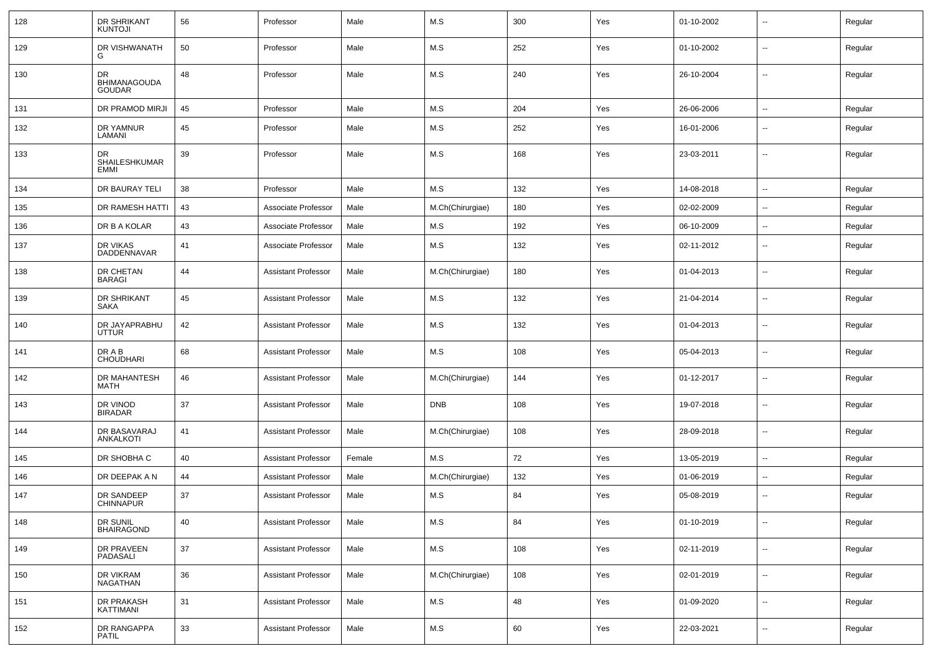| 128 | DR SHRIKANT<br><b>KUNTOJI</b>                     | 56 | Professor                  | Male   | M.S              | 300 | Yes | 01-10-2002 | $\mathbf{u}$             | Regular |
|-----|---------------------------------------------------|----|----------------------------|--------|------------------|-----|-----|------------|--------------------------|---------|
| 129 | DR VISHWANATH<br>G                                | 50 | Professor                  | Male   | M.S              | 252 | Yes | 01-10-2002 | $\sim$                   | Regular |
| 130 | <b>DR</b><br><b>BHIMANAGOUDA</b><br><b>GOUDAR</b> | 48 | Professor                  | Male   | M.S              | 240 | Yes | 26-10-2004 | $\mathbf{u}$             | Regular |
| 131 | DR PRAMOD MIRJI                                   | 45 | Professor                  | Male   | M.S              | 204 | Yes | 26-06-2006 | $\mathbf{u}$             | Regular |
| 132 | DR YAMNUR<br>LAMANI                               | 45 | Professor                  | Male   | M.S              | 252 | Yes | 16-01-2006 | $\mathbf{u}$             | Regular |
| 133 | <b>DR</b><br><b>SHAILESHKUMAR</b><br>EMMI         | 39 | Professor                  | Male   | M.S              | 168 | Yes | 23-03-2011 | $\mathbf{u}$             | Regular |
| 134 | DR BAURAY TELI                                    | 38 | Professor                  | Male   | M.S              | 132 | Yes | 14-08-2018 | $\mathbf{u}$             | Regular |
| 135 | DR RAMESH HATTI                                   | 43 | Associate Professor        | Male   | M.Ch(Chirurgiae) | 180 | Yes | 02-02-2009 | $\sim$                   | Regular |
| 136 | DR B A KOLAR                                      | 43 | Associate Professor        | Male   | M.S              | 192 | Yes | 06-10-2009 | $\sim$                   | Regular |
| 137 | DR VIKAS<br><b>DADDENNAVAR</b>                    | 41 | Associate Professor        | Male   | M.S              | 132 | Yes | 02-11-2012 | $\sim$                   | Regular |
| 138 | DR CHETAN<br><b>BARAGI</b>                        | 44 | <b>Assistant Professor</b> | Male   | M.Ch(Chirurgiae) | 180 | Yes | 01-04-2013 | --                       | Regular |
| 139 | DR SHRIKANT<br><b>SAKA</b>                        | 45 | <b>Assistant Professor</b> | Male   | M.S              | 132 | Yes | 21-04-2014 | $\sim$                   | Regular |
| 140 | DR JAYAPRABHU<br><b>UTTUR</b>                     | 42 | <b>Assistant Professor</b> | Male   | M.S              | 132 | Yes | 01-04-2013 | --                       | Regular |
| 141 | DR A B<br><b>CHOUDHARI</b>                        | 68 | <b>Assistant Professor</b> | Male   | M.S              | 108 | Yes | 05-04-2013 | --                       | Regular |
| 142 | DR MAHANTESH<br><b>MATH</b>                       | 46 | <b>Assistant Professor</b> | Male   | M.Ch(Chirurgiae) | 144 | Yes | 01-12-2017 | $\overline{\phantom{a}}$ | Regular |
| 143 | DR VINOD<br><b>BIRADAR</b>                        | 37 | <b>Assistant Professor</b> | Male   | <b>DNB</b>       | 108 | Yes | 19-07-2018 | $\overline{\phantom{a}}$ | Regular |
| 144 | DR BASAVARAJ<br>ANKALKOTI                         | 41 | <b>Assistant Professor</b> | Male   | M.Ch(Chirurgiae) | 108 | Yes | 28-09-2018 | $\overline{\phantom{a}}$ | Regular |
| 145 | DR SHOBHA C                                       | 40 | <b>Assistant Professor</b> | Female | M.S              | 72  | Yes | 13-05-2019 | $\overline{\phantom{a}}$ | Regular |
| 146 | DR DEEPAK A N                                     | 44 | <b>Assistant Professor</b> | Male   | M.Ch(Chirurgiae) | 132 | Yes | 01-06-2019 | $\overline{\phantom{a}}$ | Regular |
| 147 | DR SANDEEP<br><b>CHINNAPUR</b>                    | 37 | <b>Assistant Professor</b> | Male   | M.S              | 84  | Yes | 05-08-2019 | --                       | Regular |
| 148 | DR SUNIL<br><b>BHAIRAGOND</b>                     | 40 | <b>Assistant Professor</b> | Male   | M.S              | 84  | Yes | 01-10-2019 | $\mathbf{u}$             | Regular |
| 149 | DR PRAVEEN<br>PADASALI                            | 37 | <b>Assistant Professor</b> | Male   | M.S              | 108 | Yes | 02-11-2019 | $\overline{\phantom{a}}$ | Regular |
| 150 | DR VIKRAM<br><b>NAGATHAN</b>                      | 36 | <b>Assistant Professor</b> | Male   | M.Ch(Chirurgiae) | 108 | Yes | 02-01-2019 | $\sim$                   | Regular |
| 151 | DR PRAKASH<br>KATTIMANI                           | 31 | <b>Assistant Professor</b> | Male   | M.S              | 48  | Yes | 01-09-2020 | $\overline{\phantom{a}}$ | Regular |
| 152 | DR RANGAPPA<br><b>PATIL</b>                       | 33 | <b>Assistant Professor</b> | Male   | M.S              | 60  | Yes | 22-03-2021 | $\overline{\phantom{a}}$ | Regular |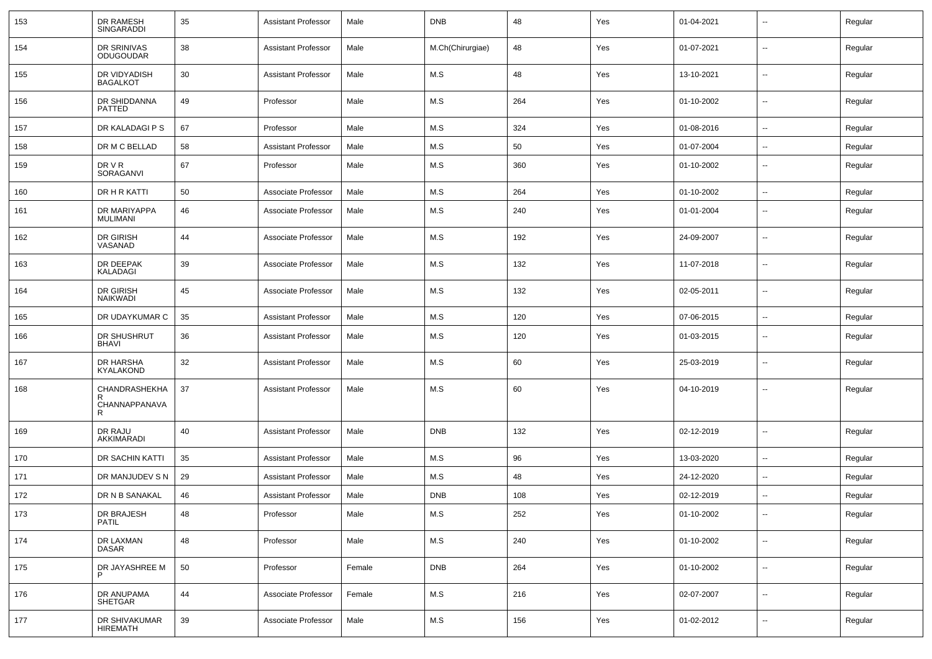| 153 | DR RAMESH<br>SINGARADDI          | 35 | <b>Assistant Professor</b> | Male   | <b>DNB</b>       | 48  | Yes | 01-04-2021 |                          | Regular |
|-----|----------------------------------|----|----------------------------|--------|------------------|-----|-----|------------|--------------------------|---------|
| 154 | DR SRINIVAS<br><b>ODUGOUDAR</b>  | 38 | <b>Assistant Professor</b> | Male   | M.Ch(Chirurgiae) | 48  | Yes | 01-07-2021 | $\sim$                   | Regular |
| 155 | DR VIDYADISH<br><b>BAGALKOT</b>  | 30 | Assistant Professor        | Male   | M.S              | 48  | Yes | 13-10-2021 | $\sim$                   | Regular |
| 156 | DR SHIDDANNA<br>PATTED           | 49 | Professor                  | Male   | M.S              | 264 | Yes | 01-10-2002 | $\sim$                   | Regular |
| 157 | DR KALADAGI P S                  | 67 | Professor                  | Male   | M.S              | 324 | Yes | 01-08-2016 | $\sim$                   | Regular |
| 158 | DR M C BELLAD                    | 58 | <b>Assistant Professor</b> | Male   | M.S              | 50  | Yes | 01-07-2004 | $\overline{\phantom{a}}$ | Regular |
| 159 | DR V R<br>SORAGANVI              | 67 | Professor                  | Male   | M.S              | 360 | Yes | 01-10-2002 | $\overline{\phantom{a}}$ | Regular |
| 160 | DR H R KATTI                     | 50 | Associate Professor        | Male   | M.S              | 264 | Yes | 01-10-2002 | $\overline{\phantom{a}}$ | Regular |
| 161 | DR MARIYAPPA<br><b>MULIMANI</b>  | 46 | Associate Professor        | Male   | M.S              | 240 | Yes | 01-01-2004 | $\overline{\phantom{a}}$ | Regular |
| 162 | DR GIRISH<br>VASANAD             | 44 | Associate Professor        | Male   | M.S              | 192 | Yes | 24-09-2007 | $\overline{\phantom{a}}$ | Regular |
| 163 | DR DEEPAK<br><b>KALADAGI</b>     | 39 | Associate Professor        | Male   | M.S              | 132 | Yes | 11-07-2018 | $\overline{\phantom{a}}$ | Regular |
| 164 | DR GIRISH<br><b>NAIKWADI</b>     | 45 | Associate Professor        | Male   | M.S              | 132 | Yes | 02-05-2011 | $\overline{\phantom{a}}$ | Regular |
| 165 | DR UDAYKUMAR C                   | 35 | <b>Assistant Professor</b> | Male   | M.S              | 120 | Yes | 07-06-2015 | $\overline{\phantom{a}}$ | Regular |
| 166 | DR SHUSHRUT<br><b>BHAVI</b>      | 36 | <b>Assistant Professor</b> | Male   | M.S              | 120 | Yes | 01-03-2015 | --                       | Regular |
| 167 | DR HARSHA<br>KYALAKOND           | 32 | <b>Assistant Professor</b> | Male   | M.S              | 60  | Yes | 25-03-2019 | $\overline{\phantom{a}}$ | Regular |
| 168 | CHANDRASHEKHA<br>R               | 37 | <b>Assistant Professor</b> | Male   | M.S              | 60  | Yes | 04-10-2019 | $\sim$                   | Regular |
|     | CHANNAPPANAVA<br>R               |    |                            |        |                  |     |     |            |                          |         |
| 169 | DR RAJU<br>AKKIMARADI            | 40 | <b>Assistant Professor</b> | Male   | <b>DNB</b>       | 132 | Yes | 02-12-2019 | $\overline{\phantom{a}}$ | Regular |
| 170 | DR SACHIN KATTI                  | 35 | <b>Assistant Professor</b> | Male   | M.S              | 96  | Yes | 13-03-2020 | $\overline{\phantom{a}}$ | Regular |
| 171 | DR MANJUDEV S N                  | 29 | <b>Assistant Professor</b> | Male   | M.S              | 48  | Yes | 24-12-2020 | $\overline{\phantom{a}}$ | Regular |
| 172 | DR N B SANAKAL                   | 46 | <b>Assistant Professor</b> | Male   | <b>DNB</b>       | 108 | Yes | 02-12-2019 | $\mathbf{u}$             | Regular |
| 173 | DR BRAJESH<br>PATIL              | 48 | Professor                  | Male   | M.S              | 252 | Yes | 01-10-2002 | $\sim$                   | Regular |
| 174 | DR LAXMAN<br><b>DASAR</b>        | 48 | Professor                  | Male   | M.S              | 240 | Yes | 01-10-2002 | $\sim$                   | Regular |
| 175 | DR JAYASHREE M                   | 50 | Professor                  | Female | <b>DNB</b>       | 264 | Yes | 01-10-2002 | $\sim$                   | Regular |
| 176 | DR ANUPAMA<br>SHETGAR            | 44 | Associate Professor        | Female | M.S              | 216 | Yes | 02-07-2007 | $\sim$                   | Regular |
| 177 | DR SHIVAKUMAR<br><b>HIREMATH</b> | 39 | Associate Professor        | Male   | M.S              | 156 | Yes | 01-02-2012 | $\sim$                   | Regular |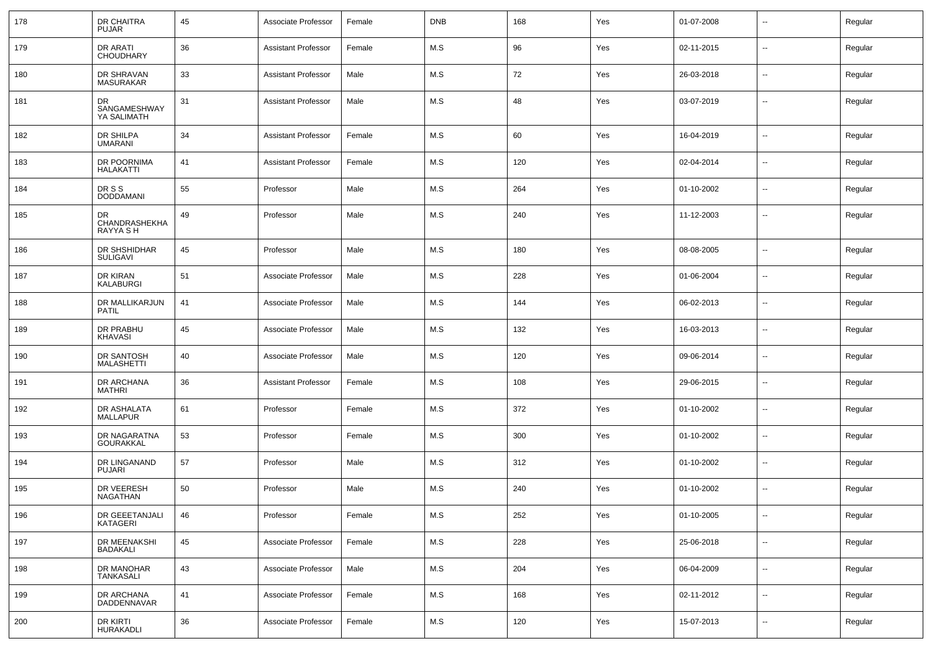| 178 | DR CHAITRA<br><b>PUJAR</b>             | 45 | Associate Professor        | Female | <b>DNB</b> | 168 | Yes | 01-07-2008 | $\sim$                   | Regular |
|-----|----------------------------------------|----|----------------------------|--------|------------|-----|-----|------------|--------------------------|---------|
| 179 | DR ARATI<br><b>CHOUDHARY</b>           | 36 | <b>Assistant Professor</b> | Female | M.S        | 96  | Yes | 02-11-2015 | $\overline{\phantom{a}}$ | Regular |
| 180 | DR SHRAVAN<br><b>MASURAKAR</b>         | 33 | <b>Assistant Professor</b> | Male   | M.S        | 72  | Yes | 26-03-2018 | $\overline{\phantom{a}}$ | Regular |
| 181 | DR<br>SANGAMESHWAY<br>YA SALIMATH      | 31 | <b>Assistant Professor</b> | Male   | M.S        | 48  | Yes | 03-07-2019 | $\overline{\phantom{a}}$ | Regular |
| 182 | DR SHILPA<br><b>UMARANI</b>            | 34 | <b>Assistant Professor</b> | Female | M.S        | 60  | Yes | 16-04-2019 | $\overline{\phantom{a}}$ | Regular |
| 183 | DR POORNIMA<br><b>HALAKATTI</b>        | 41 | <b>Assistant Professor</b> | Female | M.S        | 120 | Yes | 02-04-2014 | $\overline{\phantom{a}}$ | Regular |
| 184 | DR S S<br><b>DODDAMANI</b>             | 55 | Professor                  | Male   | M.S        | 264 | Yes | 01-10-2002 | $\overline{\phantom{a}}$ | Regular |
| 185 | DR<br>CHANDRASHEKHA<br><b>RAYYA SH</b> | 49 | Professor                  | Male   | M.S        | 240 | Yes | 11-12-2003 | $\overline{\phantom{a}}$ | Regular |
| 186 | DR SHSHIDHAR<br><b>SULIGAVI</b>        | 45 | Professor                  | Male   | M.S        | 180 | Yes | 08-08-2005 | $\overline{\phantom{a}}$ | Regular |
| 187 | DR KIRAN<br><b>KALABURGI</b>           | 51 | Associate Professor        | Male   | M.S        | 228 | Yes | 01-06-2004 | $\overline{\phantom{a}}$ | Regular |
| 188 | DR MALLIKARJUN<br><b>PATIL</b>         | 41 | Associate Professor        | Male   | M.S        | 144 | Yes | 06-02-2013 | $\sim$                   | Regular |
| 189 | DR PRABHU<br>KHAVASI                   | 45 | Associate Professor        | Male   | M.S        | 132 | Yes | 16-03-2013 | $\overline{\phantom{a}}$ | Regular |
| 190 | DR SANTOSH<br><b>MALASHETTI</b>        | 40 | Associate Professor        | Male   | M.S        | 120 | Yes | 09-06-2014 | $\sim$                   | Regular |
| 191 | DR ARCHANA<br>MATHRI                   | 36 | Assistant Professor        | Female | M.S        | 108 | Yes | 29-06-2015 | $\overline{\phantom{a}}$ | Regular |
| 192 | DR ASHALATA<br><b>MALLAPUR</b>         | 61 | Professor                  | Female | M.S        | 372 | Yes | 01-10-2002 | $\sim$                   | Regular |
| 193 | DR NAGARATNA<br><b>GOURAKKAL</b>       | 53 | Professor                  | Female | M.S        | 300 | Yes | 01-10-2002 | $\overline{\phantom{a}}$ | Regular |
| 194 | DR LINGANAND<br><b>PUJARI</b>          | 57 | Professor                  | Male   | M.S        | 312 | Yes | 01-10-2002 | $\sim$                   | Regular |
| 195 | DR VEERESH<br>NAGATHAN                 | 50 | Professor                  | Male   | M.S        | 240 | Yes | 01-10-2002 | $\overline{\phantom{a}}$ | Regular |
| 196 | DR GEEETANJALI<br>KATAGERI             | 46 | Professor                  | Female | M.S        | 252 | Yes | 01-10-2005 | $\overline{\phantom{a}}$ | Regular |
| 197 | DR MEENAKSHI<br><b>BADAKALI</b>        | 45 | Associate Professor        | Female | M.S        | 228 | Yes | 25-06-2018 | $\overline{\phantom{a}}$ | Regular |
| 198 | DR MANOHAR<br>TANKASALI                | 43 | Associate Professor        | Male   | M.S        | 204 | Yes | 06-04-2009 | $\overline{\phantom{a}}$ | Regular |
| 199 | DR ARCHANA<br>DADDENNAVAR              | 41 | Associate Professor        | Female | M.S        | 168 | Yes | 02-11-2012 | $\overline{\phantom{a}}$ | Regular |
| 200 | DR KIRTI<br>HURAKADLI                  | 36 | Associate Professor        | Female | M.S        | 120 | Yes | 15-07-2013 | $\overline{\phantom{a}}$ | Regular |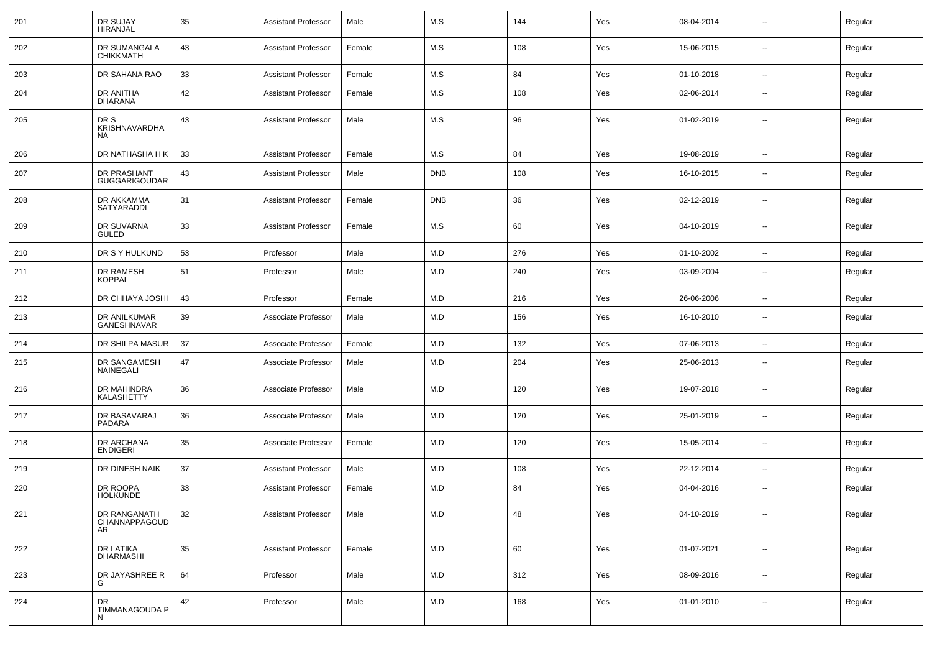| 201 | DR SUJAY<br>HIRANJAL                       | 35     | <b>Assistant Professor</b> | Male   | M.S        | 144 | Yes | 08-04-2014 |                          | Regular |
|-----|--------------------------------------------|--------|----------------------------|--------|------------|-----|-----|------------|--------------------------|---------|
| 202 | DR SUMANGALA<br><b>CHIKKMATH</b>           | 43     | <b>Assistant Professor</b> | Female | M.S        | 108 | Yes | 15-06-2015 | $\overline{\phantom{a}}$ | Regular |
| 203 | DR SAHANA RAO                              | 33     | <b>Assistant Professor</b> | Female | M.S        | 84  | Yes | 01-10-2018 | --                       | Regular |
| 204 | DR ANITHA<br><b>DHARANA</b>                | 42     | <b>Assistant Professor</b> | Female | M.S        | 108 | Yes | 02-06-2014 | $\overline{\phantom{a}}$ | Regular |
| 205 | DR S<br>KRISHNAVARDHA<br>NA                | 43     | Assistant Professor        | Male   | M.S        | 96  | Yes | 01-02-2019 | --                       | Regular |
| 206 | DR NATHASHA H K                            | 33     | <b>Assistant Professor</b> | Female | M.S        | 84  | Yes | 19-08-2019 | --                       | Regular |
| 207 | DR PRASHANT<br><b>GUGGARIGOUDAR</b>        | 43     | <b>Assistant Professor</b> | Male   | <b>DNB</b> | 108 | Yes | 16-10-2015 | $\overline{\phantom{a}}$ | Regular |
| 208 | DR AKKAMMA<br>SATYARADDI                   | 31     | <b>Assistant Professor</b> | Female | <b>DNB</b> | 36  | Yes | 02-12-2019 | --                       | Regular |
| 209 | DR SUVARNA<br><b>GULED</b>                 | 33     | <b>Assistant Professor</b> | Female | M.S        | 60  | Yes | 04-10-2019 | $\overline{\phantom{a}}$ | Regular |
| 210 | DR S Y HULKUND                             | 53     | Professor                  | Male   | M.D        | 276 | Yes | 01-10-2002 | --                       | Regular |
| 211 | DR RAMESH<br><b>KOPPAL</b>                 | 51     | Professor                  | Male   | M.D        | 240 | Yes | 03-09-2004 | $\overline{\phantom{a}}$ | Regular |
| 212 | DR CHHAYA JOSHI                            | 43     | Professor                  | Female | M.D        | 216 | Yes | 26-06-2006 | $\overline{\phantom{a}}$ | Regular |
| 213 | DR ANILKUMAR<br>GANESHNAVAR                | 39     | Associate Professor        | Male   | M.D        | 156 | Yes | 16-10-2010 | --                       | Regular |
| 214 | DR SHILPA MASUR                            | 37     | Associate Professor        | Female | M.D        | 132 | Yes | 07-06-2013 | $\overline{\phantom{a}}$ | Regular |
| 215 | DR SANGAMESH<br><b>NAINEGALI</b>           | 47     | Associate Professor        | Male   | M.D        | 204 | Yes | 25-06-2013 | $\overline{a}$           | Regular |
| 216 | DR MAHINDRA<br><b>KALASHETTY</b>           | 36     | Associate Professor        | Male   | M.D        | 120 | Yes | 19-07-2018 | $\overline{\phantom{a}}$ | Regular |
| 217 | DR BASAVARAJ<br><b>PADARA</b>              | 36     | Associate Professor        | Male   | M.D        | 120 | Yes | 25-01-2019 | --                       | Regular |
| 218 | DR ARCHANA<br><b>ENDIGERI</b>              | 35     | Associate Professor        | Female | M.D        | 120 | Yes | 15-05-2014 | $\overline{a}$           | Regular |
| 219 | DR DINESH NAIK                             | 37     | <b>Assistant Professor</b> | Male   | M.D        | 108 | Yes | 22-12-2014 | $\sim$                   | Regular |
| 220 | DR ROOPA<br><b>HOLKUNDE</b>                | 33     | <b>Assistant Professor</b> | Female | M.D        | 84  | Yes | 04-04-2016 | н.                       | Regular |
| 221 | DR RANGANATH<br>CHANNAPPAGOUD<br><b>AR</b> | 32     | Assistant Professor        | Male   | M.D        | 48  | Yes | 04-10-2019 | $\overline{\phantom{a}}$ | Regular |
| 222 | DR LATIKA<br><b>DHARMASHI</b>              | $35\,$ | Assistant Professor        | Female | M.D        | 60  | Yes | 01-07-2021 | ц.                       | Regular |
| 223 | DR JAYASHREE R<br>G                        | 64     | Professor                  | Male   | M.D        | 312 | Yes | 08-09-2016 | Ξ.                       | Regular |
| 224 | DR<br>TIMMANAGOUDA P<br>N                  | 42     | Professor                  | Male   | M.D        | 168 | Yes | 01-01-2010 | $\sim$                   | Regular |